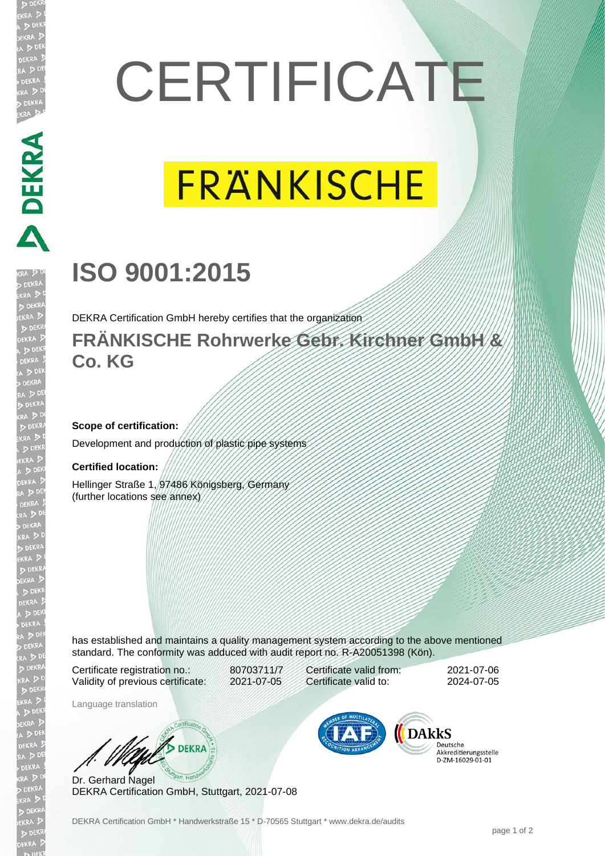# **CERTIFICATE**

# **FRANKISCHE**

## **ISO 9001:2015**

DEKRA Certification GmbH hereby certifies that the organization

#### **FRÄNKISCHE Rohrwerke Gebr. Kirchner GmbH & Co. KG**

#### **Scope of certification:**

Development and production of plastic pipe systems

#### **Certified location:**

**DEKRA** 

Hellinger Straße 1, 97486 Königsberg, Germany (further locations see annex)

has established and maintains a quality management system according to the above mentioned standard. The conformity was adduced with audit report no. R-A20051398 (Kön).

Certificate registration no.: 80703711/7 Validity of previous certificate: 2021-07-05

Language translation

Dr. Gerhard Nagel

Certificate valid from: 2021-07-06 Certificate valid to: 2024-07-05

**DARKS** 

Deutsche Akkreditierungsstelle 

DEKRA Certification GmbH, Stuttgart, 2021-07-08

**WA DEKRA**